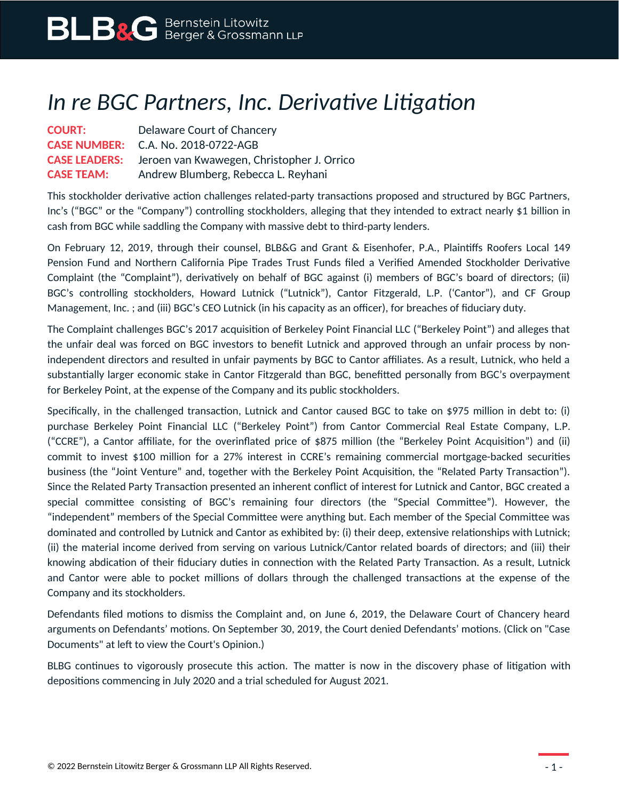## *In re BGC Partners, Inc. Derivative Litigation*

| <b>COURT:</b>        | Delaware Court of Chancery                 |
|----------------------|--------------------------------------------|
|                      | <b>CASE NUMBER:</b> C.A. No. 2018-0722-AGB |
| <b>CASE LEADERS:</b> | Jeroen van Kwawegen, Christopher J. Orrico |
| <b>CASE TEAM:</b>    | Andrew Blumberg, Rebecca L. Reyhani        |

This stockholder derivative action challenges related-party transactions proposed and structured by BGC Partners, Inc's ("BGC" or the "Company") controlling stockholders, alleging that they intended to extract nearly \$1 billion in cash from BGC while saddling the Company with massive debt to third-party lenders.

On February 12, 2019, through their counsel, BLB&G and Grant & Eisenhofer, P.A., Plaintiffs Roofers Local 149 Pension Fund and Northern California Pipe Trades Trust Funds filed a Verified Amended Stockholder Derivative Complaint (the "Complaint"), derivatively on behalf of BGC against (i) members of BGC's board of directors; (ii) BGC's controlling stockholders, Howard Lutnick ("Lutnick"), Cantor Fitzgerald, L.P. ('Cantor"), and CF Group Management, Inc. ; and (iii) BGC's CEO Lutnick (in his capacity as an officer), for breaches of fiduciary duty.

The Complaint challenges BGC's 2017 acquisition of Berkeley Point Financial LLC ("Berkeley Point") and alleges that the unfair deal was forced on BGC investors to benefit Lutnick and approved through an unfair process by nonindependent directors and resulted in unfair payments by BGC to Cantor affiliates. As a result, Lutnick, who held a substantially larger economic stake in Cantor Fitzgerald than BGC, benefitted personally from BGC's overpayment for Berkeley Point, at the expense of the Company and its public stockholders.

Specifically, in the challenged transaction, Lutnick and Cantor caused BGC to take on \$975 million in debt to: (i) purchase Berkeley Point Financial LLC ("Berkeley Point") from Cantor Commercial Real Estate Company, L.P. ("CCRE"), a Cantor affiliate, for the overinflated price of \$875 million (the "Berkeley Point Acquisition") and (ii) commit to invest \$100 million for a 27% interest in CCRE's remaining commercial mortgage-backed securities business (the "Joint Venture" and, together with the Berkeley Point Acquisition, the "Related Party Transaction"). Since the Related Party Transaction presented an inherent conflict of interest for Lutnick and Cantor, BGC created a special committee consisting of BGC's remaining four directors (the "Special Committee"). However, the "independent" members of the Special Committee were anything but. Each member of the Special Committee was dominated and controlled by Lutnick and Cantor as exhibited by: (i) their deep, extensive relationships with Lutnick; (ii) the material income derived from serving on various Lutnick/Cantor related boards of directors; and (iii) their knowing abdication of their fiduciary duties in connection with the Related Party Transaction. As a result, Lutnick and Cantor were able to pocket millions of dollars through the challenged transactions at the expense of the Company and its stockholders.

Defendants filed motions to dismiss the Complaint and, on June 6, 2019, the Delaware Court of Chancery heard arguments on Defendants' motions. On September 30, 2019, the Court denied Defendants' motions. (Click on "Case Documents" at left to view the Court's Opinion.)

BLBG continues to vigorously prosecute this action. The matter is now in the discovery phase of litigation with depositions commencing in July 2020 and a trial scheduled for August 2021.